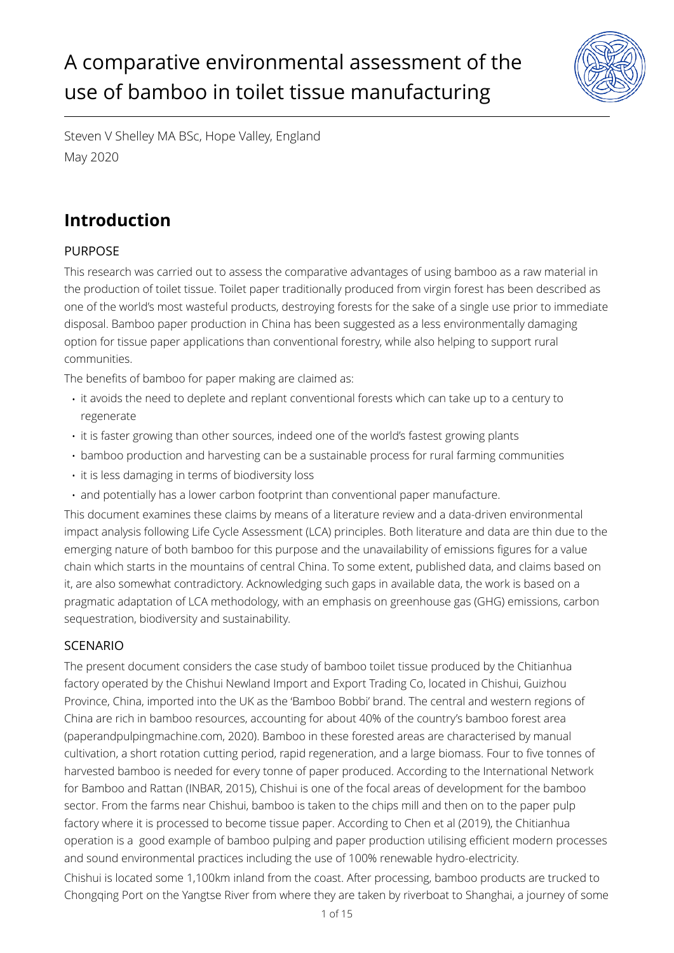# A comparative environmental assessment of the use of bamboo in toilet tissue manufacturing



Steven V Shelley MA BSc, Hope Valley, England May 2020

## **Introduction**

## PURPOSE

This research was carried out to assess the comparative advantages of using bamboo as a raw material in the production of toilet tissue. Toilet paper traditionally produced from virgin forest has been described as one of the world's most wasteful products, destroying forests for the sake of a single use prior to immediate disposal. Bamboo paper production in China has been suggested as a less environmentally damaging option for tissue paper applications than conventional forestry, while also helping to support rural communities.

The benefits of bamboo for paper making are claimed as:

- it avoids the need to deplete and replant conventional forests which can take up to a century to regenerate
- it is faster growing than other sources, indeed one of the world's fastest growing plants
- bamboo production and harvesting can be a sustainable process for rural farming communities
- it is less damaging in terms of biodiversity loss
- and potentially has a lower carbon footprint than conventional paper manufacture.

This document examines these claims by means of a literature review and a data-driven environmental impact analysis following Life Cycle Assessment (LCA) principles. Both literature and data are thin due to the emerging nature of both bamboo for this purpose and the unavailability of emissions figures for a value chain which starts in the mountains of central China. To some extent, published data, and claims based on it, are also somewhat contradictory. Acknowledging such gaps in available data, the work is based on a pragmatic adaptation of LCA methodology, with an emphasis on greenhouse gas (GHG) emissions, carbon sequestration, biodiversity and sustainability.

## SCENARIO

The present document considers the case study of bamboo toilet tissue produced by the Chitianhua factory operated by the Chishui Newland Import and Export Trading Co, located in Chishui, Guizhou Province, China, imported into the UK as the 'Bamboo Bobbi' brand. The central and western regions of China are rich in bamboo resources, accounting for about 40% of the country's bamboo forest area (paperandpulpingmachine.com, 2020). Bamboo in these forested areas are characterised by manual cultivation, a short rotation cutting period, rapid regeneration, and a large biomass. Four to five tonnes of harvested bamboo is needed for every tonne of paper produced. According to the International Network for Bamboo and Rattan (INBAR, 2015), Chishui is one of the focal areas of development for the bamboo sector. From the farms near Chishui, bamboo is taken to the chips mill and then on to the paper pulp factory where it is processed to become tissue paper. According to Chen et al (2019), the Chitianhua operation is a good example of bamboo pulping and paper production utilising efficient modern processes and sound environmental practices including the use of 100% renewable hydro-electricity. Chishui is located some 1,100km inland from the coast. After processing, bamboo products are trucked to Chongqing Port on the Yangtse River from where they are taken by riverboat to Shanghai, a journey of some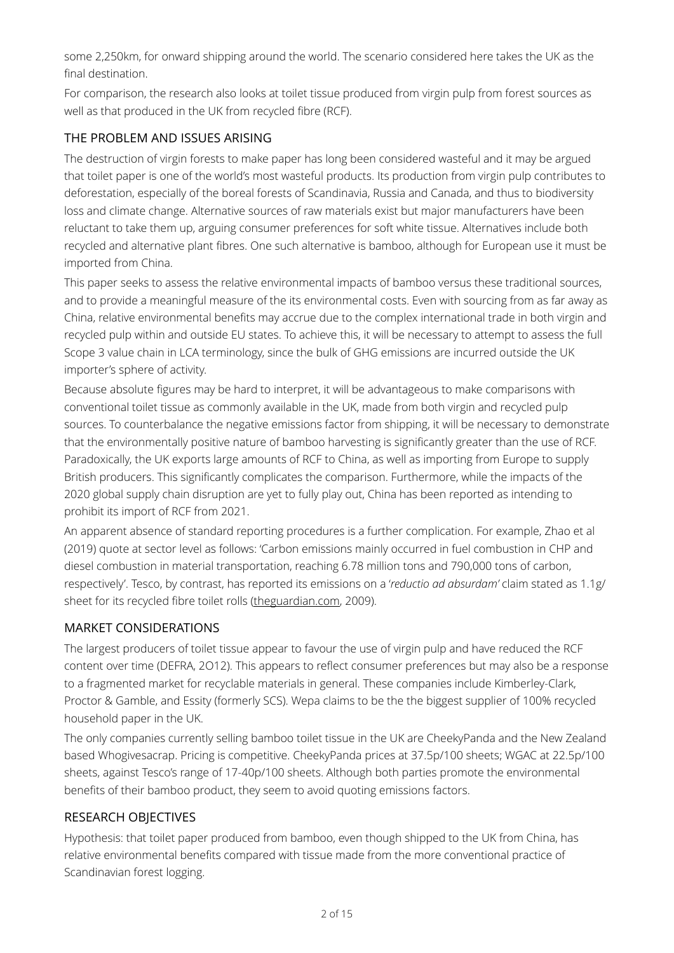some 2,250km, for onward shipping around the world. The scenario considered here takes the UK as the final destination.

For comparison, the research also looks at toilet tissue produced from virgin pulp from forest sources as well as that produced in the UK from recycled fibre (RCF).

## THE PROBLEM AND ISSUES ARISING

The destruction of virgin forests to make paper has long been considered wasteful and it may be argued that toilet paper is one of the world's most wasteful products. Its production from virgin pulp contributes to deforestation, especially of the boreal forests of Scandinavia, Russia and Canada, and thus to biodiversity loss and climate change. Alternative sources of raw materials exist but major manufacturers have been reluctant to take them up, arguing consumer preferences for soft white tissue. Alternatives include both recycled and alternative plant fibres. One such alternative is bamboo, although for European use it must be imported from China.

This paper seeks to assess the relative environmental impacts of bamboo versus these traditional sources, and to provide a meaningful measure of the its environmental costs. Even with sourcing from as far away as China, relative environmental benefits may accrue due to the complex international trade in both virgin and recycled pulp within and outside EU states. To achieve this, it will be necessary to attempt to assess the full Scope 3 value chain in LCA terminology, since the bulk of GHG emissions are incurred outside the UK importer's sphere of activity.

Because absolute figures may be hard to interpret, it will be advantageous to make comparisons with conventional toilet tissue as commonly available in the UK, made from both virgin and recycled pulp sources. To counterbalance the negative emissions factor from shipping, it will be necessary to demonstrate that the environmentally positive nature of bamboo harvesting is significantly greater than the use of RCF. Paradoxically, the UK exports large amounts of RCF to China, as well as importing from Europe to supply British producers. This significantly complicates the comparison. Furthermore, while the impacts of the 2020 global supply chain disruption are yet to fully play out, China has been reported as intending to prohibit its import of RCF from 2021.

An apparent absence of standard reporting procedures is a further complication. For example, Zhao et al (2019) quote at sector level as follows: 'Carbon emissions mainly occurred in fuel combustion in CHP and diesel combustion in material transportation, reaching 6.78 million tons and 790,000 tons of carbon, respectively'. Tesco, by contrast, has reported its emissions on a '*reductio ad absurdam'* claim stated as 1.1g/ sheet for its recycled fibre toilet rolls [\(theguardian.com](http://theguardian.com), 2009).

## MARKET CONSIDERATIONS

The largest producers of toilet tissue appear to favour the use of virgin pulp and have reduced the RCF content over time (DEFRA, 2O12). This appears to reflect consumer preferences but may also be a response to a fragmented market for recyclable materials in general. These companies include Kimberley-Clark, Proctor & Gamble, and Essity (formerly SCS). Wepa claims to be the the biggest supplier of 100% recycled household paper in the UK.

The only companies currently selling bamboo toilet tissue in the UK are CheekyPanda and the New Zealand based Whogivesacrap. Pricing is competitive. CheekyPanda prices at 37.5p/100 sheets; WGAC at 22.5p/100 sheets, against Tesco's range of 17-40p/100 sheets. Although both parties promote the environmental benefits of their bamboo product, they seem to avoid quoting emissions factors.

## RESEARCH OBJECTIVES

Hypothesis: that toilet paper produced from bamboo, even though shipped to the UK from China, has relative environmental benefits compared with tissue made from the more conventional practice of Scandinavian forest logging.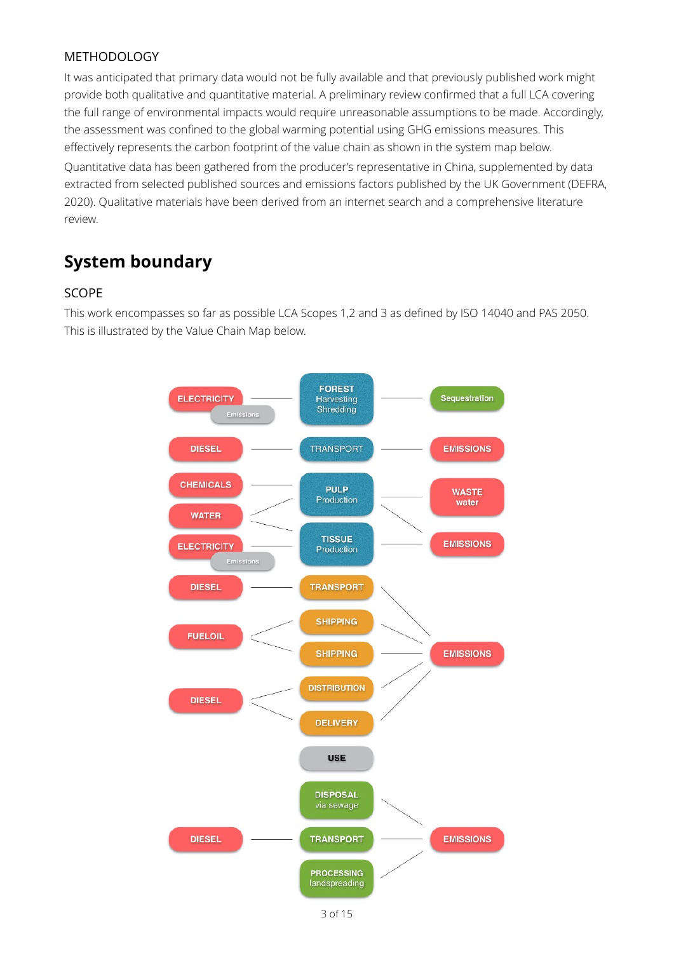### METHODOLOGY

It was anticipated that primary data would not be fully available and that previously published work might provide both qualitative and quantitative material. A preliminary review confirmed that a full LCA covering the full range of environmental impacts would require unreasonable assumptions to be made. Accordingly, the assessment was confined to the global warming potential using GHG emissions measures. This effectively represents the carbon footprint of the value chain as shown in the system map below.

Quantitative data has been gathered from the producer's representative in China, supplemented by data extracted from selected published sources and emissions factors published by the UK Government (DEFRA, 2020). Qualitative materials have been derived from an internet search and a comprehensive literature review.

## **System boundary**

#### SCOPE

This work encompasses so far as possible LCA Scopes 1,2 and 3 as defined by ISO 14040 and PAS 2050. This is illustrated by the Value Chain Map below.

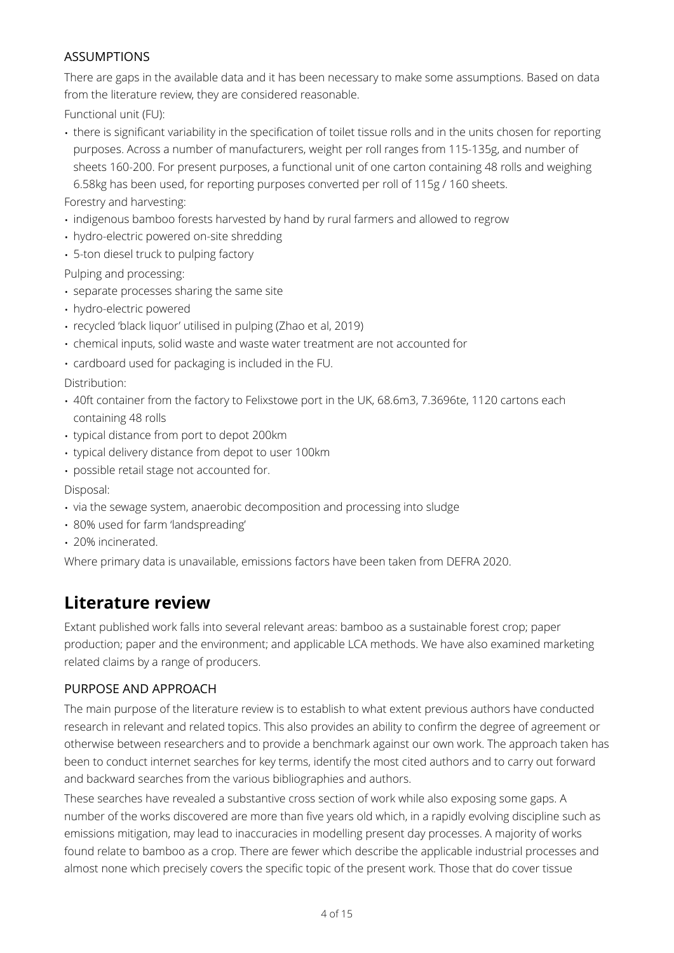### ASSUMPTIONS

There are gaps in the available data and it has been necessary to make some assumptions. Based on data from the literature review, they are considered reasonable.

Functional unit (FU):

• there is significant variability in the specification of toilet tissue rolls and in the units chosen for reporting purposes. Across a number of manufacturers, weight per roll ranges from 115-135g, and number of sheets 160-200. For present purposes, a functional unit of one carton containing 48 rolls and weighing 6.58kg has been used, for reporting purposes converted per roll of 115g / 160 sheets.

Forestry and harvesting:

- indigenous bamboo forests harvested by hand by rural farmers and allowed to regrow
- hydro-electric powered on-site shredding
- 5-ton diesel truck to pulping factory

Pulping and processing:

- separate processes sharing the same site
- hydro-electric powered
- recycled 'black liquor' utilised in pulping (Zhao et al, 2019)
- chemical inputs, solid waste and waste water treatment are not accounted for
- cardboard used for packaging is included in the FU.

Distribution:

- 40ft container from the factory to Felixstowe port in the UK, 68.6m3, 7.3696te, 1120 cartons each containing 48 rolls
- typical distance from port to depot 200km
- typical delivery distance from depot to user 100km
- possible retail stage not accounted for.

Disposal:

- via the sewage system, anaerobic decomposition and processing into sludge
- 80% used for farm 'landspreading'
- 20% incinerated.

Where primary data is unavailable, emissions factors have been taken from DEFRA 2020.

## **Literature review**

Extant published work falls into several relevant areas: bamboo as a sustainable forest crop; paper production; paper and the environment; and applicable LCA methods. We have also examined marketing related claims by a range of producers.

## PURPOSE AND APPROACH

The main purpose of the literature review is to establish to what extent previous authors have conducted research in relevant and related topics. This also provides an ability to confirm the degree of agreement or otherwise between researchers and to provide a benchmark against our own work. The approach taken has been to conduct internet searches for key terms, identify the most cited authors and to carry out forward and backward searches from the various bibliographies and authors.

These searches have revealed a substantive cross section of work while also exposing some gaps. A number of the works discovered are more than five years old which, in a rapidly evolving discipline such as emissions mitigation, may lead to inaccuracies in modelling present day processes. A majority of works found relate to bamboo as a crop. There are fewer which describe the applicable industrial processes and almost none which precisely covers the specific topic of the present work. Those that do cover tissue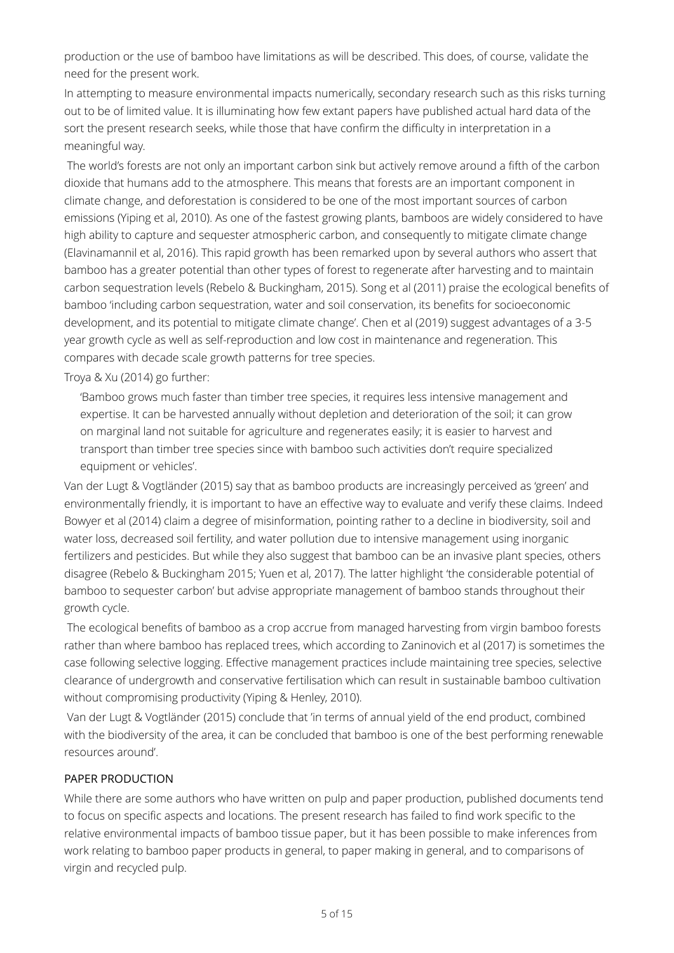production or the use of bamboo have limitations as will be described. This does, of course, validate the need for the present work.

In attempting to measure environmental impacts numerically, secondary research such as this risks turning out to be of limited value. It is illuminating how few extant papers have published actual hard data of the sort the present research seeks, while those that have confirm the difficulty in interpretation in a meaningful way.

 The world's forests are not only an important carbon sink but actively remove around a fifth of the carbon dioxide that humans add to the atmosphere. This means that forests are an important component in climate change, and deforestation is considered to be one of the most important sources of carbon emissions (Yiping et al, 2010). As one of the fastest growing plants, bamboos are widely considered to have high ability to capture and sequester atmospheric carbon, and consequently to mitigate climate change (Elavinamannil et al, 2016). This rapid growth has been remarked upon by several authors who assert that bamboo has a greater potential than other types of forest to regenerate after harvesting and to maintain carbon sequestration levels (Rebelo & Buckingham, 2015). Song et al (2011) praise the ecological benefits of bamboo 'including carbon sequestration, water and soil conservation, its benefits for socioeconomic development, and its potential to mitigate climate change'. Chen et al (2019) suggest advantages of a 3-5 year growth cycle as well as self-reproduction and low cost in maintenance and regeneration. This compares with decade scale growth patterns for tree species.

Troya & Xu (2014) go further:

'Bamboo grows much faster than timber tree species, it requires less intensive management and expertise. It can be harvested annually without depletion and deterioration of the soil; it can grow on marginal land not suitable for agriculture and regenerates easily; it is easier to harvest and transport than timber tree species since with bamboo such activities don't require specialized equipment or vehicles'.

Van der Lugt & Vogtländer (2015) say that as bamboo products are increasingly perceived as 'green' and environmentally friendly, it is important to have an effective way to evaluate and verify these claims. Indeed Bowyer et al (2014) claim a degree of misinformation, pointing rather to a decline in biodiversity, soil and water loss, decreased soil fertility, and water pollution due to intensive management using inorganic fertilizers and pesticides. But while they also suggest that bamboo can be an invasive plant species, others disagree (Rebelo & Buckingham 2015; Yuen et al, 2017). The latter highlight 'the considerable potential of bamboo to sequester carbon' but advise appropriate management of bamboo stands throughout their growth cycle.

 The ecological benefits of bamboo as a crop accrue from managed harvesting from virgin bamboo forests rather than where bamboo has replaced trees, which according to Zaninovich et al (2017) is sometimes the case following selective logging. Effective management practices include maintaining tree species, selective clearance of undergrowth and conservative fertilisation which can result in sustainable bamboo cultivation without compromising productivity (Yiping & Henley, 2010).

 Van der Lugt & Vogtländer (2015) conclude that 'in terms of annual yield of the end product, combined with the biodiversity of the area, it can be concluded that bamboo is one of the best performing renewable resources around'.

#### PAPER PRODUCTION

While there are some authors who have written on pulp and paper production, published documents tend to focus on specific aspects and locations. The present research has failed to find work specific to the relative environmental impacts of bamboo tissue paper, but it has been possible to make inferences from work relating to bamboo paper products in general, to paper making in general, and to comparisons of virgin and recycled pulp.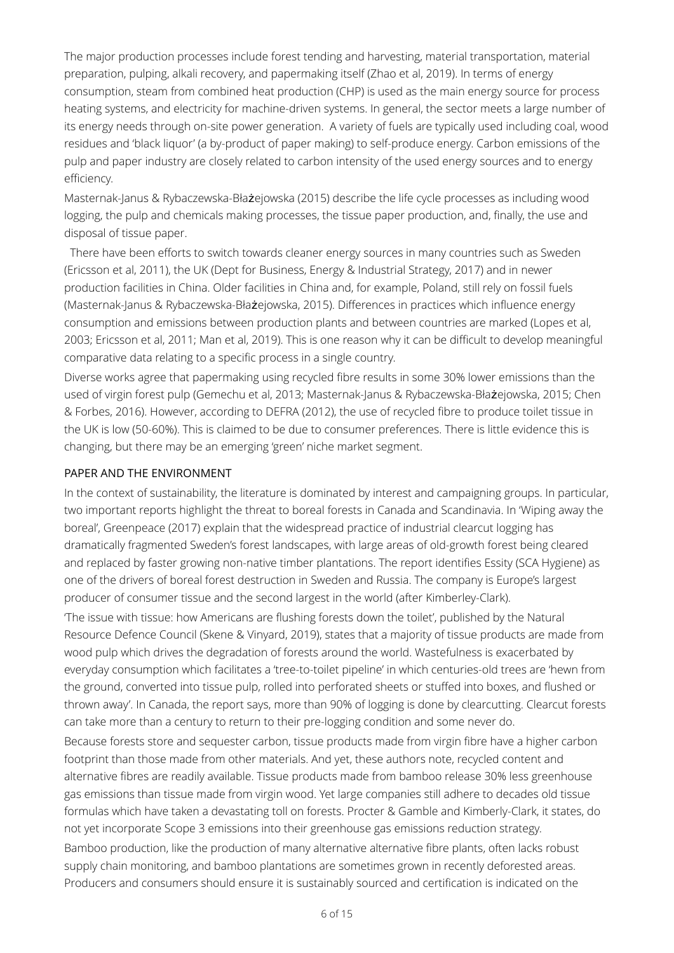The major production processes include forest tending and harvesting, material transportation, material preparation, pulping, alkali recovery, and papermaking itself (Zhao et al, 2019). In terms of energy consumption, steam from combined heat production (CHP) is used as the main energy source for process heating systems, and electricity for machine-driven systems. In general, the sector meets a large number of its energy needs through on-site power generation. A variety of fuels are typically used including coal, wood residues and 'black liquor' (a by-product of paper making) to self-produce energy. Carbon emissions of the pulp and paper industry are closely related to carbon intensity of the used energy sources and to energy efficiency.

Masternak-Janus & Rybaczewska-Błażejowska (2015) describe the life cycle processes as including wood logging, the pulp and chemicals making processes, the tissue paper production, and, finally, the use and disposal of tissue paper.

 There have been efforts to switch towards cleaner energy sources in many countries such as Sweden (Ericsson et al, 2011), the UK (Dept for Business, Energy & Industrial Strategy, 2017) and in newer production facilities in China. Older facilities in China and, for example, Poland, still rely on fossil fuels (Masternak-Janus & Rybaczewska-Błażejowska, 2015). Differences in practices which influence energy consumption and emissions between production plants and between countries are marked (Lopes et al, 2003; Ericsson et al, 2011; Man et al, 2019). This is one reason why it can be difficult to develop meaningful comparative data relating to a specific process in a single country.

Diverse works agree that papermaking using recycled fibre results in some 30% lower emissions than the used of virgin forest pulp (Gemechu et al, 2013; Masternak-Janus & Rybaczewska-Błażejowska, 2015; Chen & Forbes, 2016). However, according to DEFRA (2012), the use of recycled fibre to produce toilet tissue in the UK is low (50-60%). This is claimed to be due to consumer preferences. There is little evidence this is changing, but there may be an emerging 'green' niche market segment.

#### PAPER AND THE ENVIRONMENT

In the context of sustainability, the literature is dominated by interest and campaigning groups. In particular, two important reports highlight the threat to boreal forests in Canada and Scandinavia. In 'Wiping away the boreal', Greenpeace (2017) explain that the widespread practice of industrial clearcut logging has dramatically fragmented Sweden's forest landscapes, with large areas of old-growth forest being cleared and replaced by faster growing non-native timber plantations. The report identifies Essity (SCA Hygiene) as one of the drivers of boreal forest destruction in Sweden and Russia. The company is Europe's largest producer of consumer tissue and the second largest in the world (after Kimberley-Clark).

'The issue with tissue: how Americans are flushing forests down the toilet', published by the Natural Resource Defence Council (Skene & Vinyard, 2019), states that a majority of tissue products are made from wood pulp which drives the degradation of forests around the world. Wastefulness is exacerbated by everyday consumption which facilitates a 'tree-to-toilet pipeline' in which centuries-old trees are 'hewn from the ground, converted into tissue pulp, rolled into perforated sheets or stuffed into boxes, and flushed or thrown away'. In Canada, the report says, more than 90% of logging is done by clearcutting. Clearcut forests can take more than a century to return to their pre-logging condition and some never do.

Because forests store and sequester carbon, tissue products made from virgin fibre have a higher carbon footprint than those made from other materials. And yet, these authors note, recycled content and alternative fibres are readily available. Tissue products made from bamboo release 30% less greenhouse gas emissions than tissue made from virgin wood. Yet large companies still adhere to decades old tissue formulas which have taken a devastating toll on forests. Procter & Gamble and Kimberly-Clark, it states, do not yet incorporate Scope 3 emissions into their greenhouse gas emissions reduction strategy.

Bamboo production, like the production of many alternative alternative fibre plants, often lacks robust supply chain monitoring, and bamboo plantations are sometimes grown in recently deforested areas. Producers and consumers should ensure it is sustainably sourced and certification is indicated on the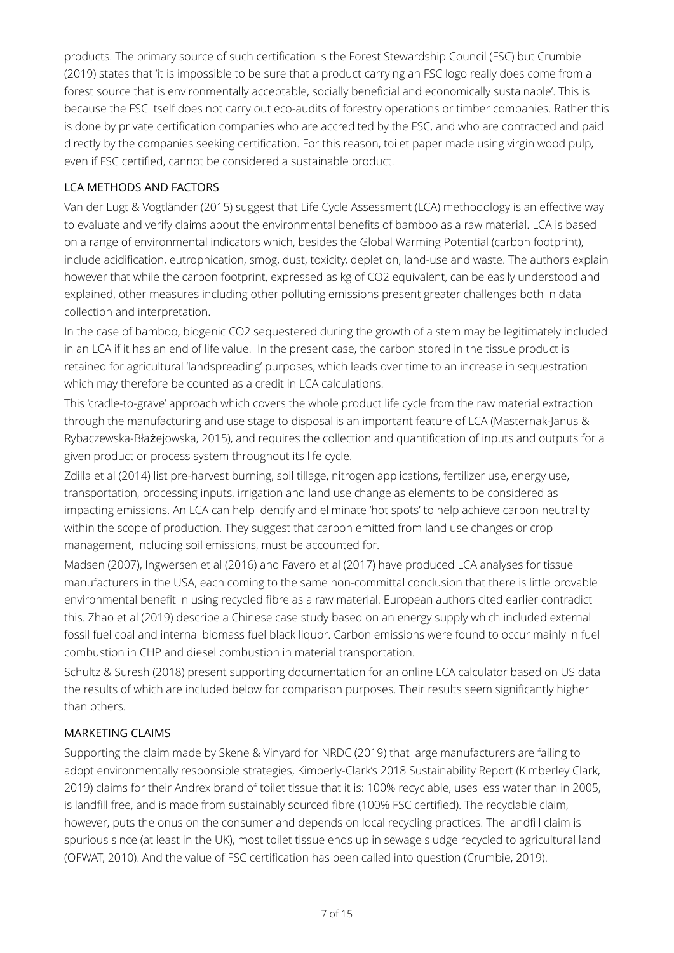products. The primary source of such certification is the Forest Stewardship Council (FSC) but Crumbie (2019) states that 'it is impossible to be sure that a product carrying an FSC logo really does come from a forest source that is environmentally acceptable, socially beneficial and economically sustainable'. This is because the FSC itself does not carry out eco-audits of forestry operations or timber companies. Rather this is done by private certification companies who are accredited by the FSC, and who are contracted and paid directly by the companies seeking certification. For this reason, toilet paper made using virgin wood pulp, even if FSC certified, cannot be considered a sustainable product.

### LCA METHODS AND FACTORS

Van der Lugt & Vogtländer (2015) suggest that Life Cycle Assessment (LCA) methodology is an effective way to evaluate and verify claims about the environmental benefits of bamboo as a raw material. LCA is based on a range of environmental indicators which, besides the Global Warming Potential (carbon footprint), include acidification, eutrophication, smog, dust, toxicity, depletion, land-use and waste. The authors explain however that while the carbon footprint, expressed as kg of CO2 equivalent, can be easily understood and explained, other measures including other polluting emissions present greater challenges both in data collection and interpretation.

In the case of bamboo, biogenic CO2 sequestered during the growth of a stem may be legitimately included in an LCA if it has an end of life value. In the present case, the carbon stored in the tissue product is retained for agricultural 'landspreading' purposes, which leads over time to an increase in sequestration which may therefore be counted as a credit in LCA calculations.

This 'cradle-to-grave' approach which covers the whole product life cycle from the raw material extraction through the manufacturing and use stage to disposal is an important feature of LCA (Masternak-Janus & Rybaczewska-Błażejowska, 2015), and requires the collection and quantification of inputs and outputs for a given product or process system throughout its life cycle.

Zdilla et al (2014) list pre-harvest burning, soil tillage, nitrogen applications, fertilizer use, energy use, transportation, processing inputs, irrigation and land use change as elements to be considered as impacting emissions. An LCA can help identify and eliminate 'hot spots' to help achieve carbon neutrality within the scope of production. They suggest that carbon emitted from land use changes or crop management, including soil emissions, must be accounted for.

Madsen (2007), Ingwersen et al (2016) and Favero et al (2017) have produced LCA analyses for tissue manufacturers in the USA, each coming to the same non-committal conclusion that there is little provable environmental benefit in using recycled fibre as a raw material. European authors cited earlier contradict this. Zhao et al (2019) describe a Chinese case study based on an energy supply which included external fossil fuel coal and internal biomass fuel black liquor. Carbon emissions were found to occur mainly in fuel combustion in CHP and diesel combustion in material transportation.

Schultz & Suresh (2018) present supporting documentation for an online LCA calculator based on US data the results of which are included below for comparison purposes. Their results seem significantly higher than others.

#### MARKETING CLAIMS

Supporting the claim made by Skene & Vinyard for NRDC (2019) that large manufacturers are failing to adopt environmentally responsible strategies, Kimberly-Clark's 2018 Sustainability Report (Kimberley Clark, 2019) claims for their Andrex brand of toilet tissue that it is: 100% recyclable, uses less water than in 2005, is landfill free, and is made from sustainably sourced fibre (100% FSC certified). The recyclable claim, however, puts the onus on the consumer and depends on local recycling practices. The landfill claim is spurious since (at least in the UK), most toilet tissue ends up in sewage sludge recycled to agricultural land (OFWAT, 2010). And the value of FSC certification has been called into question (Crumbie, 2019).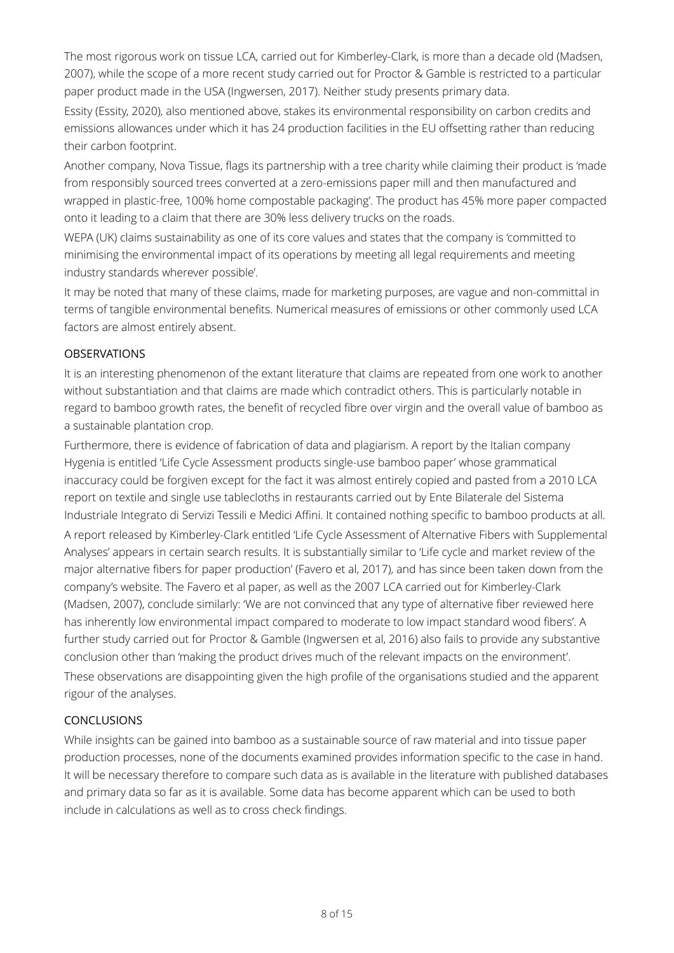The most rigorous work on tissue LCA, carried out for Kimberley-Clark, is more than a decade old (Madsen, 2007), while the scope of a more recent study carried out for Proctor & Gamble is restricted to a particular paper product made in the USA (Ingwersen, 2017). Neither study presents primary data.

Essity (Essity, 2020), also mentioned above, stakes its environmental responsibility on carbon credits and emissions allowances under which it has 24 production facilities in the EU offsetting rather than reducing their carbon footprint.

Another company, Nova Tissue, flags its partnership with a tree charity while claiming their product is 'made from responsibly sourced trees converted at a zero-emissions paper mill and then manufactured and wrapped in plastic-free, 100% home compostable packaging'. The product has 45% more paper compacted onto it leading to a claim that there are 30% less delivery trucks on the roads.

WEPA (UK) claims sustainability as one of its core values and states that the company is 'committed to minimising the environmental impact of its operations by meeting all legal requirements and meeting industry standards wherever possible'.

It may be noted that many of these claims, made for marketing purposes, are vague and non-committal in terms of tangible environmental benefits. Numerical measures of emissions or other commonly used LCA factors are almost entirely absent.

#### **OBSERVATIONS**

It is an interesting phenomenon of the extant literature that claims are repeated from one work to another without substantiation and that claims are made which contradict others. This is particularly notable in regard to bamboo growth rates, the benefit of recycled fibre over virgin and the overall value of bamboo as a sustainable plantation crop.

Furthermore, there is evidence of fabrication of data and plagiarism. A report by the Italian company Hygenia is entitled 'Life Cycle Assessment products single-use bamboo paper' whose grammatical inaccuracy could be forgiven except for the fact it was almost entirely copied and pasted from a 2010 LCA report on textile and single use tablecloths in restaurants carried out by Ente Bilaterale del Sistema Industriale Integrato di Servizi Tessili e Medici Affini. It contained nothing specific to bamboo products at all. A report released by Kimberley-Clark entitled 'Life Cycle Assessment of Alternative Fibers with Supplemental Analyses' appears in certain search results. It is substantially similar to 'Life cycle and market review of the major alternative fibers for paper production' (Favero et al, 2017), and has since been taken down from the company's website. The Favero et al paper, as well as the 2007 LCA carried out for Kimberley-Clark (Madsen, 2007), conclude similarly: 'We are not convinced that any type of alternative fiber reviewed here has inherently low environmental impact compared to moderate to low impact standard wood fibers'. A further study carried out for Proctor & Gamble (Ingwersen et al, 2016) also fails to provide any substantive conclusion other than 'making the product drives much of the relevant impacts on the environment'. These observations are disappointing given the high profile of the organisations studied and the apparent rigour of the analyses.

#### CONCLUSIONS

While insights can be gained into bamboo as a sustainable source of raw material and into tissue paper production processes, none of the documents examined provides information specific to the case in hand. It will be necessary therefore to compare such data as is available in the literature with published databases and primary data so far as it is available. Some data has become apparent which can be used to both include in calculations as well as to cross check findings.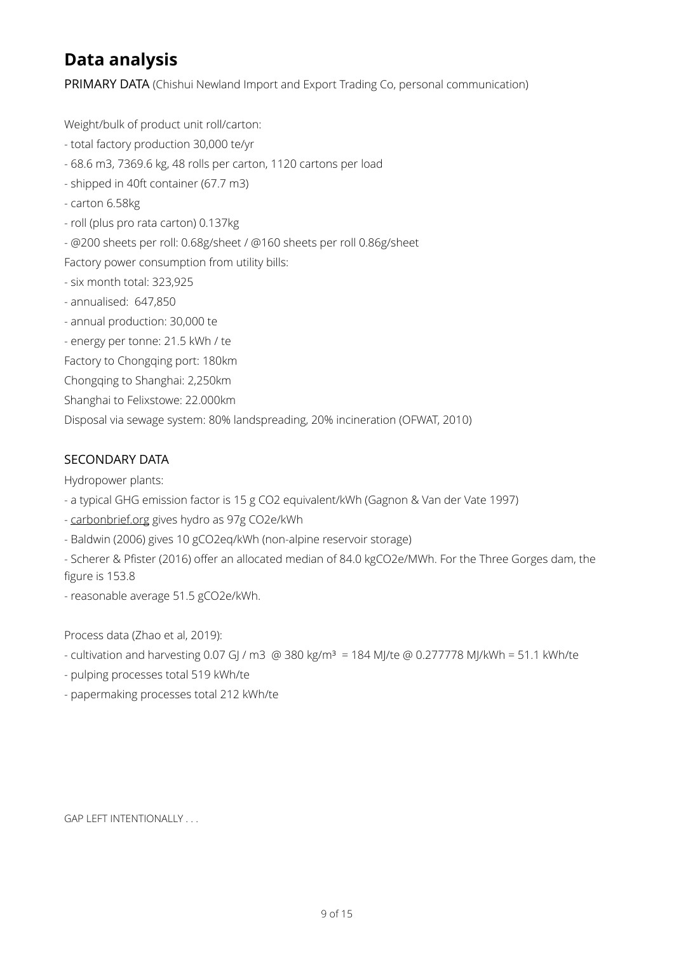## **Data analysis**

PRIMARY DATA (Chishui Newland Import and Export Trading Co, personal communication)

Weight/bulk of product unit roll/carton:

- total factory production 30,000 te/yr
- 68.6 m3, 7369.6 kg, 48 rolls per carton, 1120 cartons per load
- shipped in 40ft container (67.7 m3)
- carton 6.58kg
- roll (plus pro rata carton) 0.137kg
- @200 sheets per roll: 0.68g/sheet / @160 sheets per roll 0.86g/sheet

Factory power consumption from utility bills:

- six month total: 323,925
- annualised: 647,850
- annual production: 30,000 te
- energy per tonne: 21.5 kWh / te
- Factory to Chongqing port: 180km
- Chongqing to Shanghai: 2,250km
- Shanghai to Felixstowe: 22.000km

Disposal via sewage system: 80% landspreading, 20% incineration (OFWAT, 2010)

#### SECONDARY DATA

Hydropower plants:

- a typical GHG emission factor is 15 g CO2 equivalent/kWh (Gagnon & Van der Vate 1997)
- - [carbonbrief.org](http://carbonbrief.org) gives hydro as 97g CO2e/kWh
- Baldwin (2006) gives 10 gCO2eq/kWh (non-alpine reservoir storage)
- Scherer & Pfister (2016) offer an allocated median of 84.0 kgCO2e/MWh. For the Three Gorges dam, the figure is 153.8
- reasonable average 51.5 gCO2e/kWh.

Process data (Zhao et al, 2019):

- cultivation and harvesting 0.07 GJ / m3 @ 380 kg/m<sup>3</sup> = 184 MJ/te @ 0.277778 MJ/kWh = 51.1 kWh/te
- pulping processes total 519 kWh/te
- papermaking processes total 212 kWh/te

GAP LEFT INTENTIONALLY . . .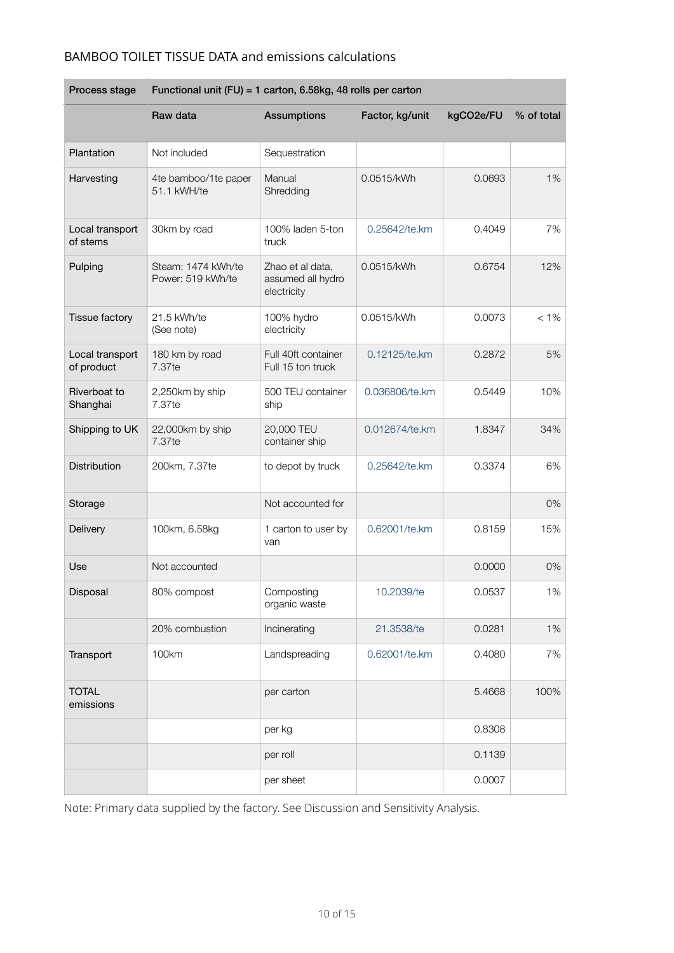#### BAMBOO TOILET TISSUE DATA and emissions calculations

| Process stage                 | Functional unit (FU) = 1 carton, 6.58kg, 48 rolls per carton |                                                      |                 |           |            |  |
|-------------------------------|--------------------------------------------------------------|------------------------------------------------------|-----------------|-----------|------------|--|
|                               | Raw data                                                     | <b>Assumptions</b>                                   | Factor, kg/unit | kgCO2e/FU | % of total |  |
| Plantation                    | Not included                                                 | Sequestration                                        |                 |           |            |  |
| Harvesting                    | 4te bamboo/1te paper<br>51.1 kWH/te                          | Manual<br>Shredding                                  | 0.0515/kWh      | 0.0693    | 1%         |  |
| Local transport<br>of stems   | 30km by road                                                 | 100% laden 5-ton<br>truck                            | 0.25642/te.km   | 0.4049    | 7%         |  |
| Pulping                       | Steam: 1474 kWh/te<br>Power: 519 kWh/te                      | Zhao et al data,<br>assumed all hydro<br>electricity | 0.0515/kWh      | 0.6754    | 12%        |  |
| Tissue factory                | 21.5 kWh/te<br>(See note)                                    | 100% hydro<br>electricity                            | 0.0515/kWh      | 0.0073    | $< 1\%$    |  |
| Local transport<br>of product | 180 km by road<br>7.37te                                     | Full 40ft container<br>Full 15 ton truck             | 0.12125/te.km   | 0.2872    | 5%         |  |
| Riverboat to<br>Shanghai      | 2,250km by ship<br>7.37te                                    | 500 TEU container<br>ship                            | 0.036806/te.km  | 0.5449    | 10%        |  |
| Shipping to UK                | 22,000km by ship<br>7.37te                                   | 20,000 TEU<br>container ship                         | 0.012674/te.km  | 1.8347    | 34%        |  |
| Distribution                  | 200km, 7.37te                                                | to depot by truck                                    | 0.25642/te.km   | 0.3374    | 6%         |  |
| Storage                       |                                                              | Not accounted for                                    |                 |           | 0%         |  |
| Delivery                      | 100km, 6.58kg                                                | 1 carton to user by<br>van                           | 0.62001/te.km   | 0.8159    | 15%        |  |
| Use                           | Not accounted                                                |                                                      |                 | 0.0000    | 0%         |  |
| Disposal                      | 80% compost                                                  | Composting<br>organic waste                          | 10.2039/te      | 0.0537    | 1%         |  |
|                               | 20% combustion                                               | Incinerating                                         | 21.3538/te      | 0.0281    | 1%         |  |
| Transport                     | 100km                                                        | Landspreading                                        | 0.62001/te.km   | 0.4080    | 7%         |  |
| <b>TOTAL</b><br>emissions     |                                                              | per carton                                           |                 | 5.4668    | 100%       |  |
|                               |                                                              | per kg                                               |                 | 0.8308    |            |  |
|                               |                                                              | per roll                                             |                 | 0.1139    |            |  |
|                               |                                                              | per sheet                                            |                 | 0.0007    |            |  |

Note: Primary data supplied by the factory. See Discussion and Sensitivity Analysis.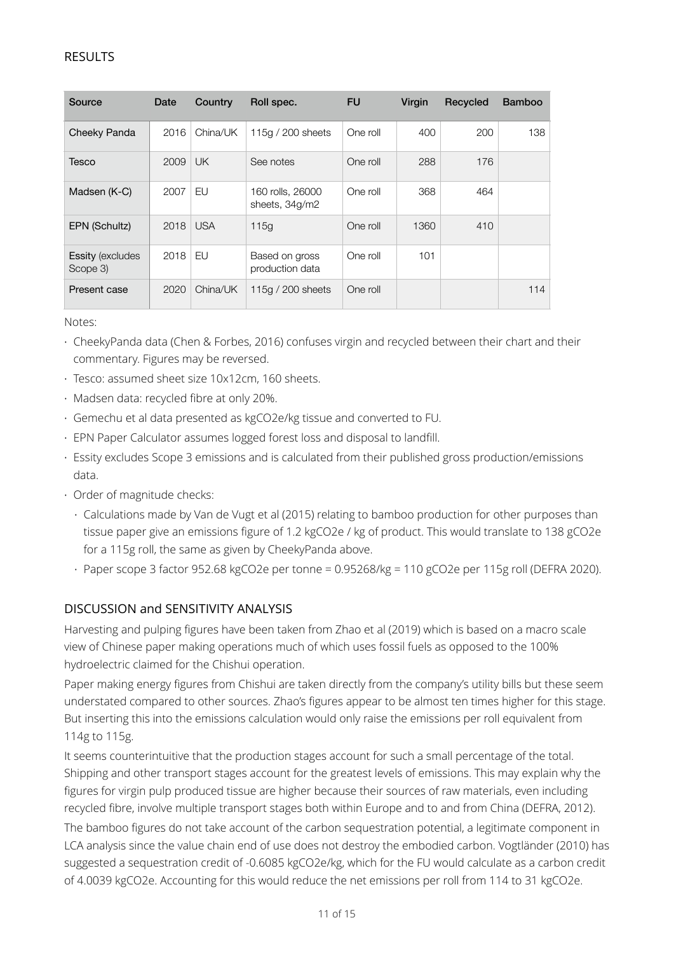#### RESULTS

| Source                               | Date | Country    | Roll spec.                         | <b>FU</b> | Virgin | Recycled | <b>Bamboo</b> |
|--------------------------------------|------|------------|------------------------------------|-----------|--------|----------|---------------|
| Cheeky Panda                         | 2016 | China/UK   | 115g / 200 sheets                  | One roll  | 400    | 200      | 138           |
| Tesco                                | 2009 | <b>UK</b>  | See notes                          | One roll  | 288    | 176      |               |
| Madsen (K-C)                         | 2007 | EU         | 160 rolls, 26000<br>sheets, 34g/m2 | One roll  | 368    | 464      |               |
| EPN (Schultz)                        | 2018 | <b>USA</b> | 115q                               | One roll  | 1360   | 410      |               |
| <b>Essity (excludes)</b><br>Scope 3) | 2018 | EU         | Based on gross<br>production data  | One roll  | 101    |          |               |
| Present case                         | 2020 | China/UK   | 115g $/$ 200 sheets                | One roll  |        |          | 114           |

Notes:

- CheekyPanda data (Chen & Forbes, 2016) confuses virgin and recycled between their chart and their commentary. Figures may be reversed.
- Tesco: assumed sheet size 10x12cm, 160 sheets.
- Madsen data: recycled fibre at only 20%.
- Gemechu et al data presented as kgCO2e/kg tissue and converted to FU.
- EPN Paper Calculator assumes logged forest loss and disposal to landfill.
- Essity excludes Scope 3 emissions and is calculated from their published gross production/emissions data.
- Order of magnitude checks:
	- Calculations made by Van de Vugt et al (2015) relating to bamboo production for other purposes than tissue paper give an emissions figure of 1.2 kgCO2e / kg of product. This would translate to 138 gCO2e for a 115g roll, the same as given by CheekyPanda above.
	- Paper scope 3 factor 952.68 kgCO2e per tonne = 0.95268/kg = 110 gCO2e per 115g roll (DEFRA 2020).

#### DISCUSSION and SENSITIVITY ANALYSIS

Harvesting and pulping figures have been taken from Zhao et al (2019) which is based on a macro scale view of Chinese paper making operations much of which uses fossil fuels as opposed to the 100% hydroelectric claimed for the Chishui operation.

Paper making energy figures from Chishui are taken directly from the company's utility bills but these seem understated compared to other sources. Zhao's figures appear to be almost ten times higher for this stage. But inserting this into the emissions calculation would only raise the emissions per roll equivalent from 114g to 115g.

It seems counterintuitive that the production stages account for such a small percentage of the total. Shipping and other transport stages account for the greatest levels of emissions. This may explain why the figures for virgin pulp produced tissue are higher because their sources of raw materials, even including recycled fibre, involve multiple transport stages both within Europe and to and from China (DEFRA, 2012).

The bamboo figures do not take account of the carbon sequestration potential, a legitimate component in LCA analysis since the value chain end of use does not destroy the embodied carbon. Vogtländer (2010) has suggested a sequestration credit of -0.6085 kgCO2e/kg, which for the FU would calculate as a carbon credit of 4.0039 kgCO2e. Accounting for this would reduce the net emissions per roll from 114 to 31 kgCO2e.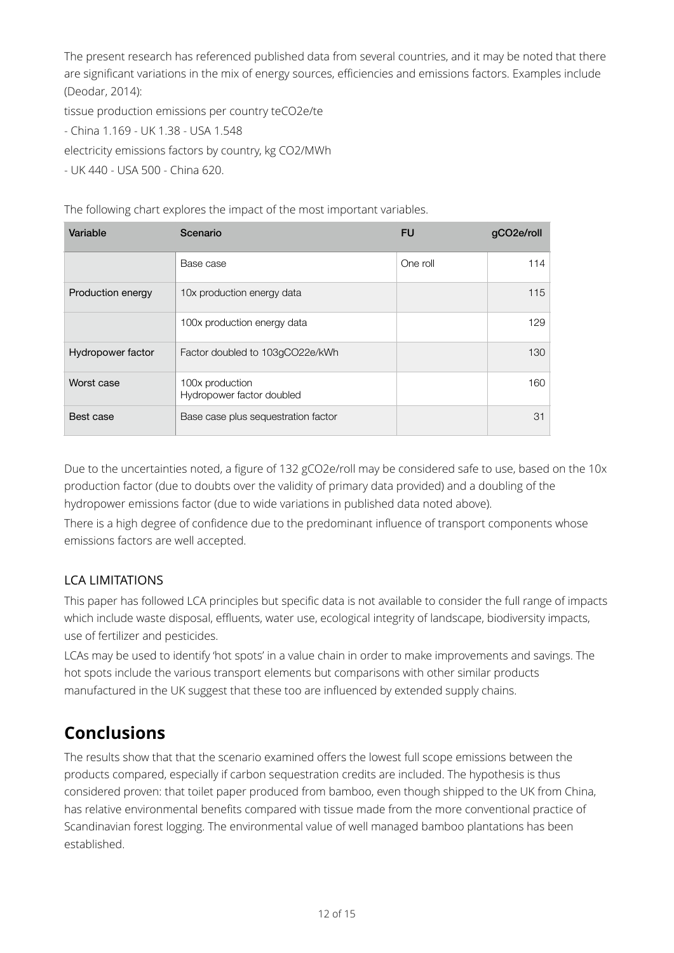The present research has referenced published data from several countries, and it may be noted that there are significant variations in the mix of energy sources, efficiencies and emissions factors. Examples include (Deodar, 2014):

tissue production emissions per country teCO2e/te

- China 1.169 - UK 1.38 - USA 1.548

electricity emissions factors by country, kg CO2/MWh

- UK 440 - USA 500 - China 620.

The following chart explores the impact of the most important variables.

| Variable          | Scenario                                     | <b>FU</b> | qCO <sub>2</sub> e/roll |
|-------------------|----------------------------------------------|-----------|-------------------------|
|                   | Base case                                    | One roll  | 114                     |
| Production energy | 10x production energy data                   |           | 115                     |
|                   | 100x production energy data                  |           | 129                     |
| Hydropower factor | Factor doubled to 103gCO22e/kWh              |           | 130                     |
| Worst case        | 100x production<br>Hydropower factor doubled |           | 160                     |
| Best case         | Base case plus sequestration factor          |           | 31                      |

Due to the uncertainties noted, a figure of 132 gCO2e/roll may be considered safe to use, based on the 10x production factor (due to doubts over the validity of primary data provided) and a doubling of the hydropower emissions factor (due to wide variations in published data noted above).

There is a high degree of confidence due to the predominant influence of transport components whose emissions factors are well accepted.

## LCA LIMITATIONS

This paper has followed LCA principles but specific data is not available to consider the full range of impacts which include waste disposal, effluents, water use, ecological integrity of landscape, biodiversity impacts, use of fertilizer and pesticides.

LCAs may be used to identify 'hot spots' in a value chain in order to make improvements and savings. The hot spots include the various transport elements but comparisons with other similar products manufactured in the UK suggest that these too are influenced by extended supply chains.

## **Conclusions**

The results show that that the scenario examined offers the lowest full scope emissions between the products compared, especially if carbon sequestration credits are included. The hypothesis is thus considered proven: that toilet paper produced from bamboo, even though shipped to the UK from China, has relative environmental benefits compared with tissue made from the more conventional practice of Scandinavian forest logging. The environmental value of well managed bamboo plantations has been established.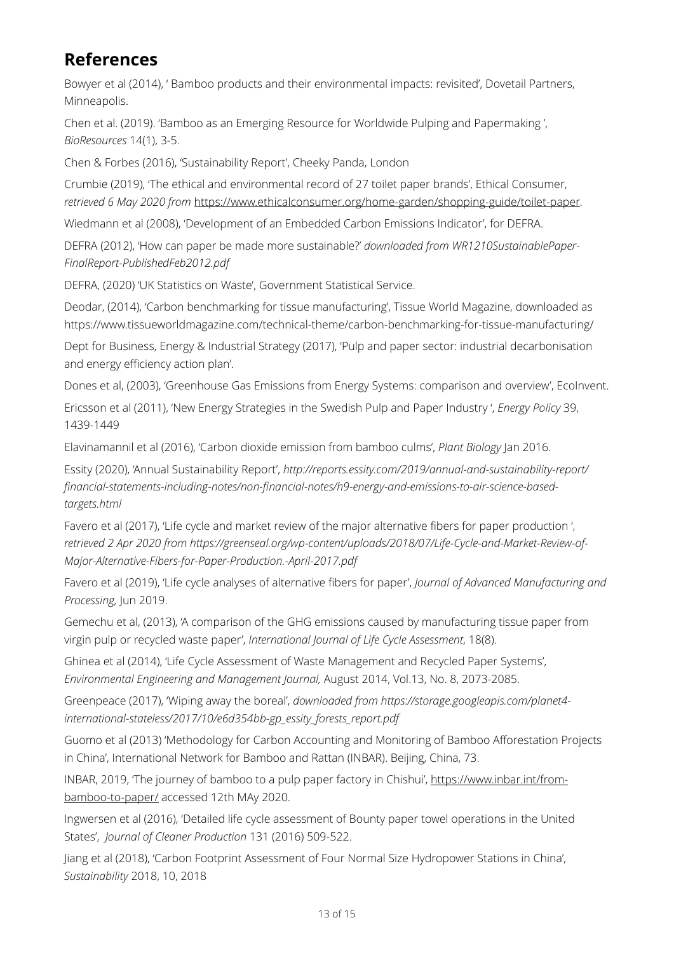## **References**

Bowyer et al (2014), ' Bamboo products and their environmental impacts: revisited', Dovetail Partners, Minneapolis.

Chen et al. (2019). 'Bamboo as an Emerging Resource for Worldwide Pulping and Papermaking ', *BioResources* 14(1), 3-5.

Chen & Forbes (2016), 'Sustainability Report', Cheeky Panda, London

Crumbie (2019), 'The ethical and environmental record of 27 toilet paper brands', Ethical Consumer, *retrieved 6 May 2020 from* <https://www.ethicalconsumer.org/home-garden/shopping-guide/toilet-paper>*.* 

Wiedmann et al (2008), 'Development of an Embedded Carbon Emissions Indicator', for DEFRA.

DEFRA (2012), 'How can paper be made more sustainable?' *downloaded from WR1210SustainablePaper-FinalReport-PublishedFeb2012.pdf* 

DEFRA, (2020) 'UK Statistics on Waste', Government Statistical Service.

Deodar, (2014), 'Carbon benchmarking for tissue manufacturing', Tissue World Magazine, downloaded as https://www.tissueworldmagazine.com/technical-theme/carbon-benchmarking-for-tissue-manufacturing/

Dept for Business, Energy & Industrial Strategy (2017), 'Pulp and paper sector: industrial decarbonisation and energy efficiency action plan'.

Dones et al, (2003), 'Greenhouse Gas Emissions from Energy Systems: comparison and overview', EcoInvent.

Ericsson et al (2011), 'New Energy Strategies in the Swedish Pulp and Paper Industry ', *Energy Policy* 39, 1439-1449

Elavinamannil et al (2016), 'Carbon dioxide emission from bamboo culms', *Plant Biology* Jan 2016.

Essity (2020), 'Annual Sustainability Report', *http://reports.essity.com/2019/annual-and-sustainability-report/ financial-statements-including-notes/non-financial-notes/h9-energy-and-emissions-to-air-science-basedtargets.html* 

Favero et al (2017), 'Life cycle and market review of the major alternative fibers for paper production ', *retrieved 2 Apr 2020 from https://greenseal.org/wp-content/uploads/2018/07/Life-Cycle-and-Market-Review-of-Major-Alternative-Fibers-for-Paper-Production.-April-2017.pdf*

Favero et al (2019), 'Life cycle analyses of alternative fibers for paper', *Journal of Advanced Manufacturing and Processing,* Jun 2019.

Gemechu et al, (2013), 'A comparison of the GHG emissions caused by manufacturing tissue paper from virgin pulp or recycled waste paper', *International Journal of Life Cycle Assessment*, 18(8).

Ghinea et al (2014), 'Life Cycle Assessment of Waste Management and Recycled Paper Systems', *Environmental Engineering and Management Journal,* August 2014, Vol.13, No. 8, 2073-2085.

Greenpeace (2017), 'Wiping away the boreal', *downloaded from https://storage.googleapis.com/planet4 international-stateless/2017/10/e6d354bb-gp\_essity\_forests\_report.pdf*

Guomo et al (2013) 'Methodology for Carbon Accounting and Monitoring of Bamboo Afforestation Projects in China', International Network for Bamboo and Rattan (INBAR). Beijing, China, 73.

INBAR, 2019, 'The journey of bamboo to a pulp paper factory in Chishui', [https://www.inbar.int/from](https://www.inbar.int/from-bamboo-to-paper/)[bamboo-to-paper/](https://www.inbar.int/from-bamboo-to-paper/) accessed 12th MAy 2020.

Ingwersen et al (2016), 'Detailed life cycle assessment of Bounty paper towel operations in the United States', *Journal of Cleaner Production* 131 (2016) 509-522.

Jiang et al (2018), 'Carbon Footprint Assessment of Four Normal Size Hydropower Stations in China', *Sustainability* 2018, 10, 2018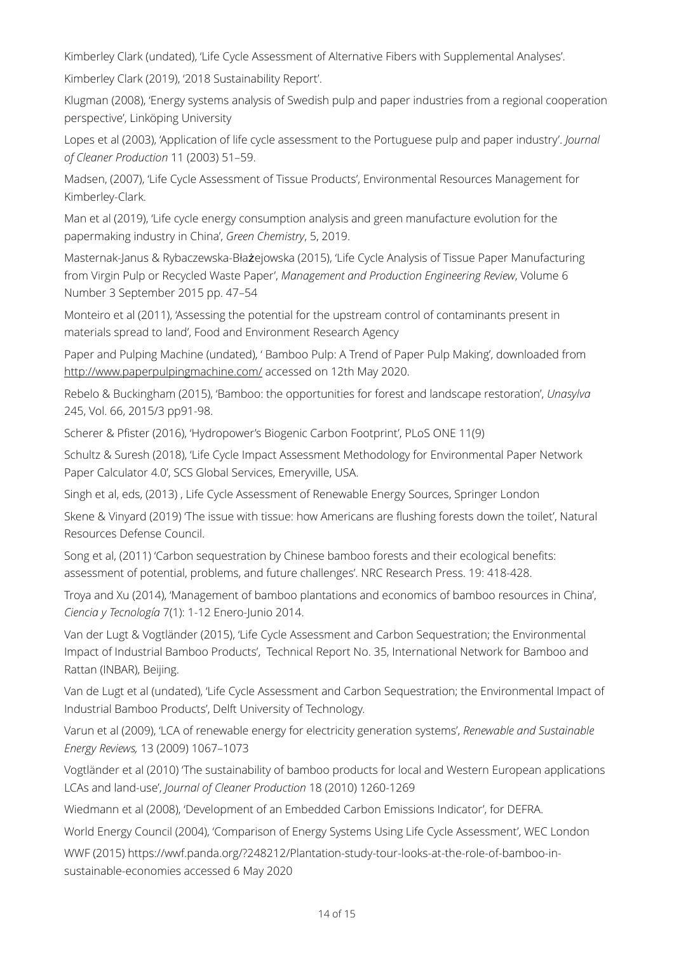Kimberley Clark (undated), 'Life Cycle Assessment of Alternative Fibers with Supplemental Analyses'.

Kimberley Clark (2019), '2018 Sustainability Report'.

Klugman (2008), 'Energy systems analysis of Swedish pulp and paper industries from a regional cooperation perspective', Linköping University

Lopes et al (2003), 'Application of life cycle assessment to the Portuguese pulp and paper industry'. *Journal of Cleaner Production* 11 (2003) 51–59.

Madsen, (2007), 'Life Cycle Assessment of Tissue Products', Environmental Resources Management for Kimberley-Clark.

Man et al (2019), 'Life cycle energy consumption analysis and green manufacture evolution for the papermaking industry in China', *Green Chemistry*, 5, 2019.

Masternak-Janus & Rybaczewska-Błażejowska (2015), 'Life Cycle Analysis of Tissue Paper Manufacturing from Virgin Pulp or Recycled Waste Paper', *Management and Production Engineering Review*, Volume 6 Number 3 September 2015 pp. 47–54

Monteiro et al (2011), 'Assessing the potential for the upstream control of contaminants present in materials spread to land', Food and Environment Research Agency

Paper and Pulping Machine (undated), ' Bamboo Pulp: A Trend of Paper Pulp Making', downloaded from <http://www.paperpulpingmachine.com/>accessed on 12th May 2020.

Rebelo & Buckingham (2015), 'Bamboo: the opportunities for forest and landscape restoration', *Unasylva* 245, Vol. 66, 2015/3 pp91-98.

Scherer & Pfister (2016), 'Hydropower's Biogenic Carbon Footprint', PLoS ONE 11(9)

Schultz & Suresh (2018), 'Life Cycle Impact Assessment Methodology for Environmental Paper Network Paper Calculator 4.0', SCS Global Services, Emeryville, USA.

Singh et al, eds, (2013) , Life Cycle Assessment of Renewable Energy Sources, Springer London

Skene & Vinyard (2019) 'The issue with tissue: how Americans are flushing forests down the toilet', Natural Resources Defense Council.

Song et al, (2011) 'Carbon sequestration by Chinese bamboo forests and their ecological benefits: assessment of potential, problems, and future challenges'. NRC Research Press. 19: 418-428.

Troya and Xu (2014), 'Management of bamboo plantations and economics of bamboo resources in China', *Ciencia y Tecnología* 7(1): 1-12 Enero-Junio 2014.

Van der Lugt & Vogtländer (2015), 'Life Cycle Assessment and Carbon Sequestration; the Environmental Impact of Industrial Bamboo Products', Technical Report No. 35, International Network for Bamboo and Rattan (INBAR), Beijing.

Van de Lugt et al (undated), 'Life Cycle Assessment and Carbon Sequestration; the Environmental Impact of Industrial Bamboo Products', Delft University of Technology.

Varun et al (2009), 'LCA of renewable energy for electricity generation systems', *Renewable and Sustainable Energy Reviews,* 13 (2009) 1067–1073

Vogtländer et al (2010) 'The sustainability of bamboo products for local and Western European applications LCAs and land-use', *Journal of Cleaner Production* 18 (2010) 1260-1269

Wiedmann et al (2008), 'Development of an Embedded Carbon Emissions Indicator', for DEFRA.

World Energy Council (2004), 'Comparison of Energy Systems Using Life Cycle Assessment', WEC London

WWF (2015) https://wwf.panda.org/?248212/Plantation-study-tour-looks-at-the-role-of-bamboo-insustainable-economies accessed 6 May 2020